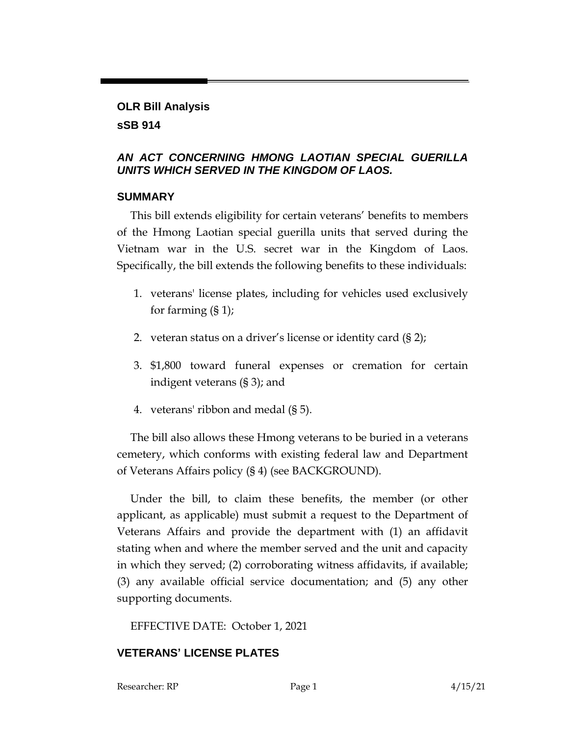#### **OLR Bill Analysis sSB 914**

## *AN ACT CONCERNING HMONG LAOTIAN SPECIAL GUERILLA UNITS WHICH SERVED IN THE KINGDOM OF LAOS.*

## **SUMMARY**

This bill extends eligibility for certain veterans' benefits to members of the Hmong Laotian special guerilla units that served during the Vietnam war in the U.S. secret war in the Kingdom of Laos. Specifically, the bill extends the following benefits to these individuals:

- 1. veterans' license plates, including for vehicles used exclusively for farming (§ 1);
- 2. veteran status on a driver's license or identity card (§ 2);
- 3. \$1,800 toward funeral expenses or cremation for certain indigent veterans (§ 3); and
- 4. veterans' ribbon and medal (§ 5).

The bill also allows these Hmong veterans to be buried in a veterans cemetery, which conforms with existing federal law and Department of Veterans Affairs policy (§ 4) (see BACKGROUND).

Under the bill, to claim these benefits, the member (or other applicant, as applicable) must submit a request to the Department of Veterans Affairs and provide the department with (1) an affidavit stating when and where the member served and the unit and capacity in which they served; (2) corroborating witness affidavits, if available; (3) any available official service documentation; and (5) any other supporting documents.

EFFECTIVE DATE: October 1, 2021

# **VETERANS' LICENSE PLATES**

Researcher: RP Page 1 2 215/21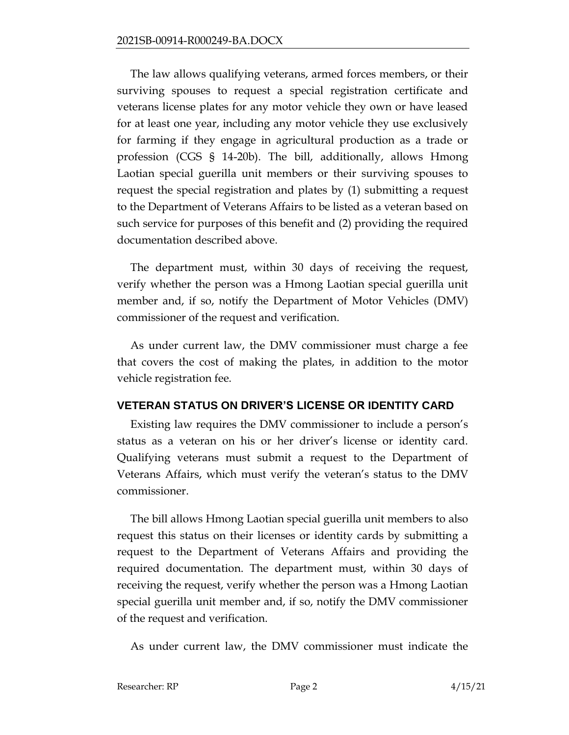The law allows qualifying veterans, armed forces members, or their surviving spouses to request a special registration certificate and veterans license plates for any motor vehicle they own or have leased for at least one year, including any motor vehicle they use exclusively for farming if they engage in agricultural production as a trade or profession (CGS § 14-20b). The bill, additionally, allows Hmong Laotian special guerilla unit members or their surviving spouses to request the special registration and plates by (1) submitting a request to the Department of Veterans Affairs to be listed as a veteran based on such service for purposes of this benefit and (2) providing the required documentation described above.

The department must, within 30 days of receiving the request, verify whether the person was a Hmong Laotian special guerilla unit member and, if so, notify the Department of Motor Vehicles (DMV) commissioner of the request and verification.

As under current law, the DMV commissioner must charge a fee that covers the cost of making the plates, in addition to the motor vehicle registration fee.

## **VETERAN STATUS ON DRIVER'S LICENSE OR IDENTITY CARD**

Existing law requires the DMV commissioner to include a person's status as a veteran on his or her driver's license or identity card. Qualifying veterans must submit a request to the Department of Veterans Affairs, which must verify the veteran's status to the DMV commissioner.

The bill allows Hmong Laotian special guerilla unit members to also request this status on their licenses or identity cards by submitting a request to the Department of Veterans Affairs and providing the required documentation. The department must, within 30 days of receiving the request, verify whether the person was a Hmong Laotian special guerilla unit member and, if so, notify the DMV commissioner of the request and verification.

As under current law, the DMV commissioner must indicate the